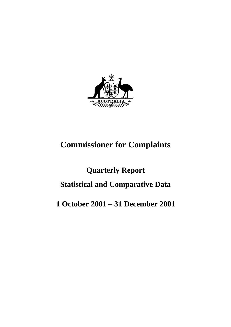

# **Commissioner for Complaints**

# **Quarterly Report Statistical and Comparative Data**

# **1 October 2001 – 31 December 2001**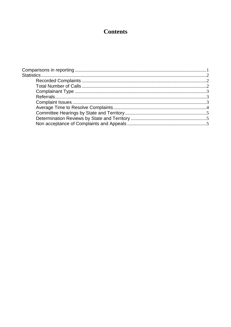## **Contents**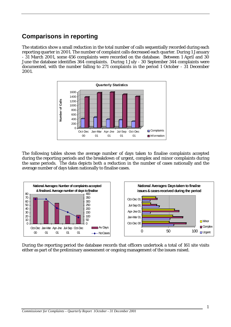## **Comparisons in reporting**

The statistics show a small reduction in the total number of calls sequentially recorded during each reporting quarter in 2001. The number of complaint calls decreased each quarter. During 1 January - 31 March 2001, some 456 complaints were recorded on the database. Between 1 April and 30 June the database identifies 364 complaints. During 1 July - 30 September 344 complaints were documented, with the number falling to 271 complaints in the period 1 October - 31 December 2001.



The following tables shows the average number of days taken to finalise complaints accepted during the reporting periods and the breakdown of urgent, complex and minor complaints during the same periods. The data depicts both a reduction in the number of cases nationally and the average number of days taken nationally to finalise cases.



During the reporting period the database records that officers undertook a total of 161 site visits either as part of the preliminary assessment or ongoing management of the issues raised.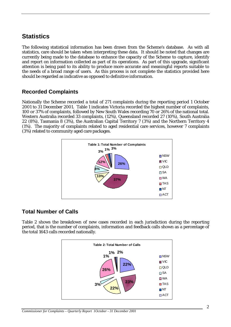## **Statistics**

The following statistical information has been drawn from the Scheme's database. As with all statistics, care should be taken when interpreting these data. It should be noted that changes are currently being made to the database to enhance the capacity of the Scheme to capture, identify and report on information collected as part of its operations. As part of this upgrade, significant attention is being paid to its ability to produce more accurate and meaningful reports suitable to the needs of a broad range of users. As this process is not complete the statistics provided here should be regarded as indicative as opposed to definitive information.

#### **Recorded Complaints**

Nationally the Scheme recorded a total of 271 complaints during the reporting period 1 October 2001 to 31 December 2001. Table 1 indicates Victoria recorded the highest number of complaints, 100 or 37% of complaints, followed by New South Wales recording 70 or 26% of the national total. Western Australia recorded 33 complaints, (12%), Queensland recorded 27 (10%), South Australia 22 (8%), Tasmania 8 (3%), the Australian Capital Territory 7 (3%) and the Northern Territory 4 (1%). The majority of complaints related to aged residential care services, however 7 complaints (3%) related to community aged care packages.



#### **Total Number of Calls**

Table 2 shows the breakdown of new cases recorded in each jurisdiction during the reporting period, that is the number of complaints, information and feedback calls shown as a percentage of the total 1643 calls recorded nationally.

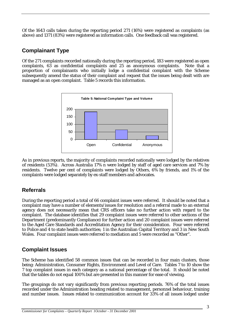Of the 1643 calls taken during the reporting period 271 (16%) were registered as complaints (as above) and 1371 (83%) were registered as information calls. One feedback call was registered.

#### **Complainant Type**

Of the 271 complaints recorded nationally during the reporting period, 183 were registered as open complaints, 63 as confidential complaints and 25 as anonymous complaints. Note that a proportion of complainants who initially lodge a confidential complaint with the Scheme subsequently amend the status of their complaint and request that the issues being dealt with are managed as an open complaint. Table 5 records this information.



As in previous reports, the majority of complaints recorded nationally were lodged by the relatives of residents (53%). Across Australia 17% n were lodged by staff of aged care services and 7% by residents. Twelve per cent of complaints were lodged by Others, 6% by friends, and 1% of the complaints were lodged separately by ex-staff members and advocates.

#### **Referrals**

During the reporting period a total of 66 complaint issues were referred. It should be noted that a complaint may have a number of elements/issues for resolution and a referral made to an external agency does not necessarily mean that CRS officers take no further action with regard to the complaint. The database identifies that 29 complaint issues were referred to other sections of the Department (predominantly Compliance) for further action and 20 complaint issues were referred to the Aged Care Standards and Accreditation Agency for their consideration. Four were referred to Police and 4 to state health authorities; 1 in the Australian Capital Territory and 3 in New South Wales. Four complaint issues were referred to mediation and 5 were recorded as "Other".

#### **Complaint Issues**

The Scheme has identified 58 common issues that can be recorded in four main clusters, those being: Administration, Consumer Rights, Environment and Level of Care. Tables 7 to 10 show the 7 top complaint issues in each category as a national percentage of the total. It should be noted that the tables do not equal 100% but are presented in this manner for ease of viewing.

The groupings do not vary significantly from previous reporting periods. 76% of the total issues recorded under the Administration heading related to management, personnel behaviour, training and number issues. Issues related to communication account for 33% of all issues lodged under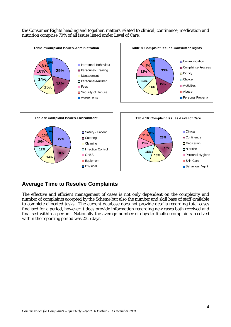the Consumer Rights heading and together, matters related to clinical, continence, medication and nutrition comprise 70% of all issues listed under Level of Care.



#### **Average Time to Resolve Complaints**

The effective and efficient management of cases is not only dependent on the complexity and number of complaints accepted by the Scheme but also the number and skill base of staff available to complete allocated tasks. The current database does not provide details regarding total cases finalised for a period, however it does provide information regarding new cases both received and finalised within a period. Nationally the average number of days to finalise complaints received within the reporting period was 23.5 days.